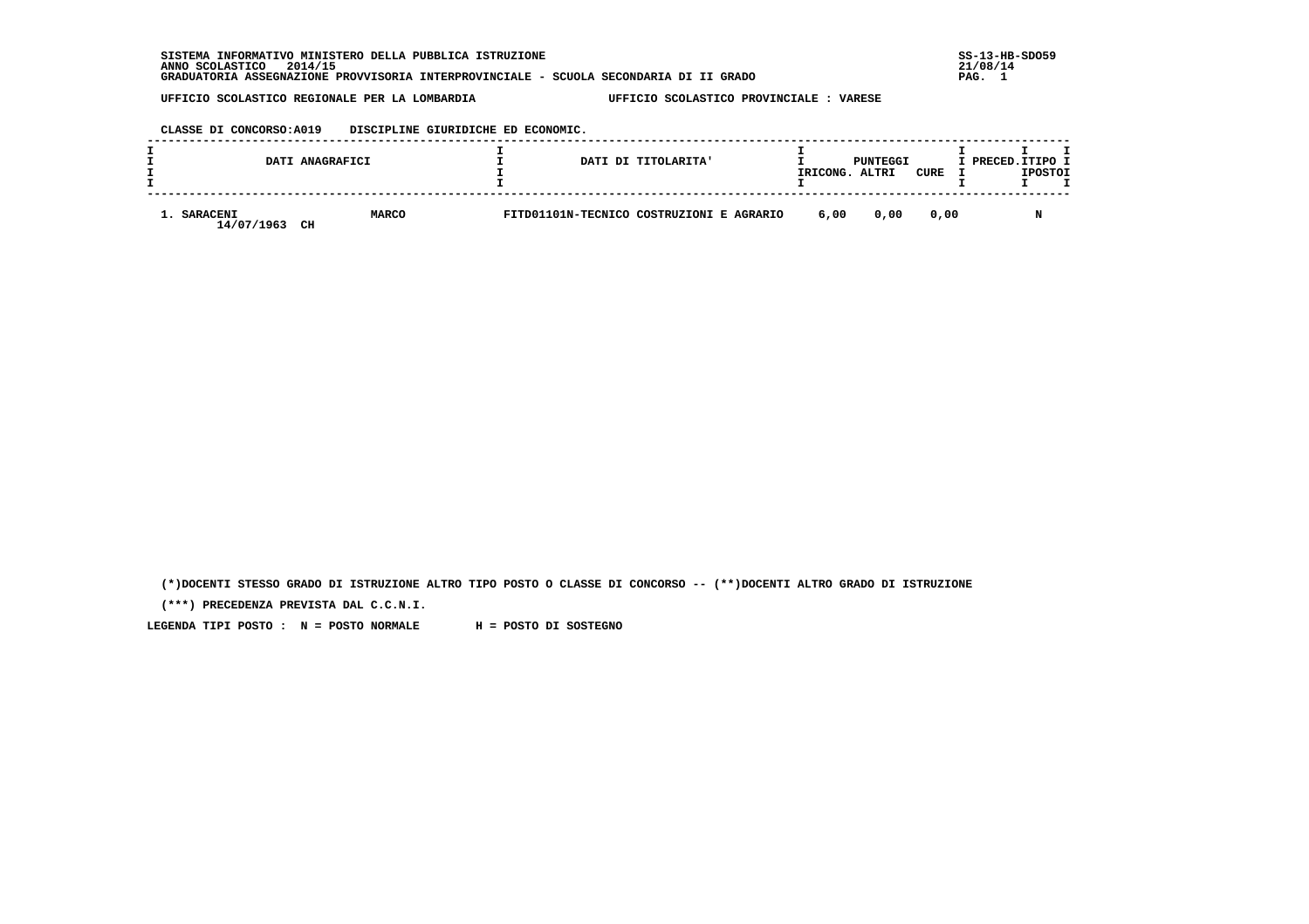**SISTEMA INFORMATIVO MINISTERO DELLA PUBBLICA ISTRUZIONE SS-13-HB-SDO59 ANNO SCOLASTICO 2014/15 21/08/14 GRADUATORIA ASSEGNAZIONE PROVVISORIA INTERPROVINCIALE - SCUOLA SECONDARIA DI II GRADO PAG. 1**

 **UFFICIO SCOLASTICO REGIONALE PER LA LOMBARDIA UFFICIO SCOLASTICO PROVINCIALE : VARESE**

### **CLASSE DI CONCORSO:A019 DISCIPLINE GIURIDICHE ED ECONOMIC.**

|                               | DATI ANAGRAFICI    |  | DATI DI TITOLARITA'                      | IRICONG. | PUNTEGGI<br>ALTRI | CURE | I PRECED. ITIPO I | <b>IPOSTOI</b> |  |
|-------------------------------|--------------------|--|------------------------------------------|----------|-------------------|------|-------------------|----------------|--|
| <b>SARACENI</b><br>14/07/1963 | <b>MARCO</b><br>CH |  | FITD01101N-TECNICO COSTRUZIONI E AGRARIO | 6,00     | 0.00              | 0.00 |                   |                |  |

 **(\*)DOCENTI STESSO GRADO DI ISTRUZIONE ALTRO TIPO POSTO O CLASSE DI CONCORSO -- (\*\*)DOCENTI ALTRO GRADO DI ISTRUZIONE**

 **(\*\*\*) PRECEDENZA PREVISTA DAL C.C.N.I.**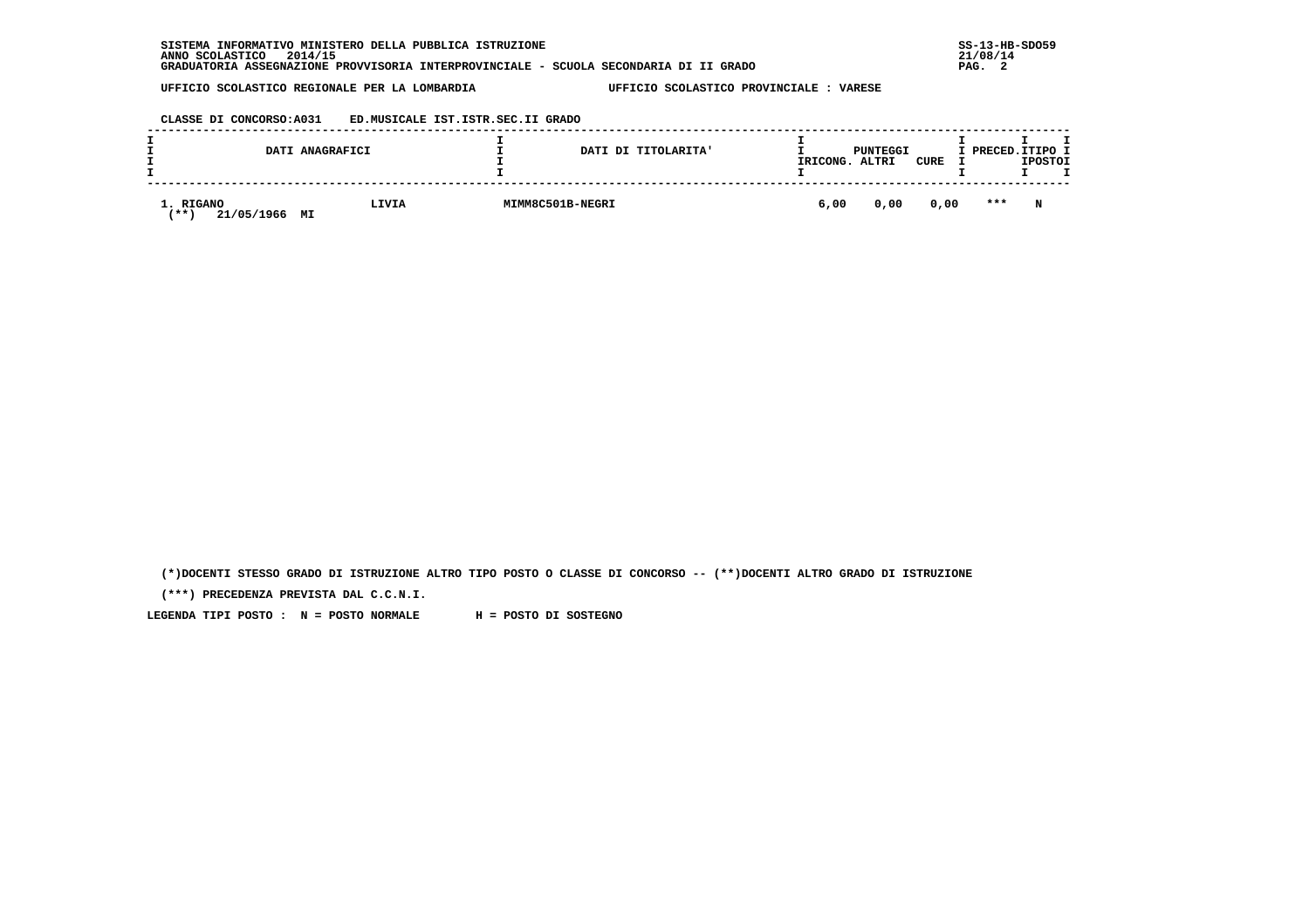| SISTEMA INFORMATIVO MINISTERO DELLA PUBBLICA ISTRUZIONE                               | $SS-13-HE$ |
|---------------------------------------------------------------------------------------|------------|
| 2014/15<br>ANNO SCOLASTICO                                                            | 21/08/14   |
| GRADUATORIA ASSEGNAZIONE PROVVISORIA INTERPROVINCIALE - SCUOLA SECONDARIA DI II GRADO | PAG.       |

 **CLASSE DI CONCORSO:A031 ED.MUSICALE IST.ISTR.SEC.II GRADO**

|                                      | DATI ANAGRAFICI | DATI DI TITOLARITA' | PUNTEGGI<br>IRICONG.<br>CURE<br>ALTRI | I PRECED.ITIPO I<br><b>IPOSTOI</b> |
|--------------------------------------|-----------------|---------------------|---------------------------------------|------------------------------------|
| 1. RIGANO<br>21/05/1966<br><b>**</b> | LIVIA<br>MI     | MIMM8C501B-NEGRI    | 0,00<br>6,00                          | ***<br>0,00<br>N                   |

 **(\*)DOCENTI STESSO GRADO DI ISTRUZIONE ALTRO TIPO POSTO O CLASSE DI CONCORSO -- (\*\*)DOCENTI ALTRO GRADO DI ISTRUZIONE**

 **(\*\*\*) PRECEDENZA PREVISTA DAL C.C.N.I.**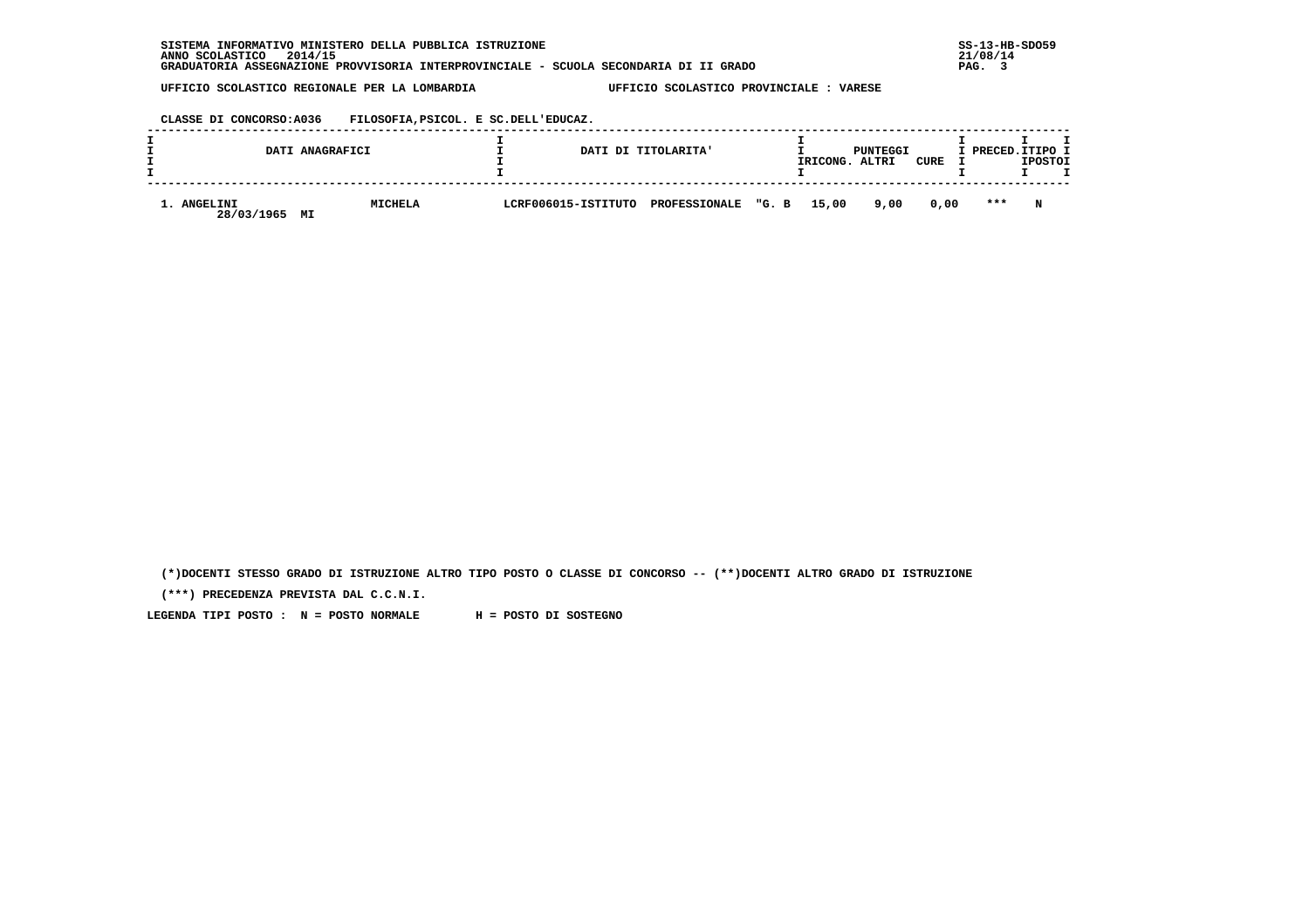**CLASSE DI CONCORSO:A036 FILOSOFIA,PSICOL. E SC.DELL'EDUCAZ.**

|                                 | DATI ANAGRAFICI |                                         | DATI DI TITOLARITA' |  | IRICONG. | PUNTEGGI<br>ALTRI | CURE | I PRECED.ITIPO I | <b>IPOSTOI</b> |  |
|---------------------------------|-----------------|-----------------------------------------|---------------------|--|----------|-------------------|------|------------------|----------------|--|
| 1. ANGELINI<br>28/03/1965<br>MI | MICHELA         | LCRF006015-ISTITUTO PROFESSIONALE "G. B |                     |  | 15,00    | 9,00              | 0.00 | $***$            | N              |  |

 **(\*)DOCENTI STESSO GRADO DI ISTRUZIONE ALTRO TIPO POSTO O CLASSE DI CONCORSO -- (\*\*)DOCENTI ALTRO GRADO DI ISTRUZIONE**

 **(\*\*\*) PRECEDENZA PREVISTA DAL C.C.N.I.**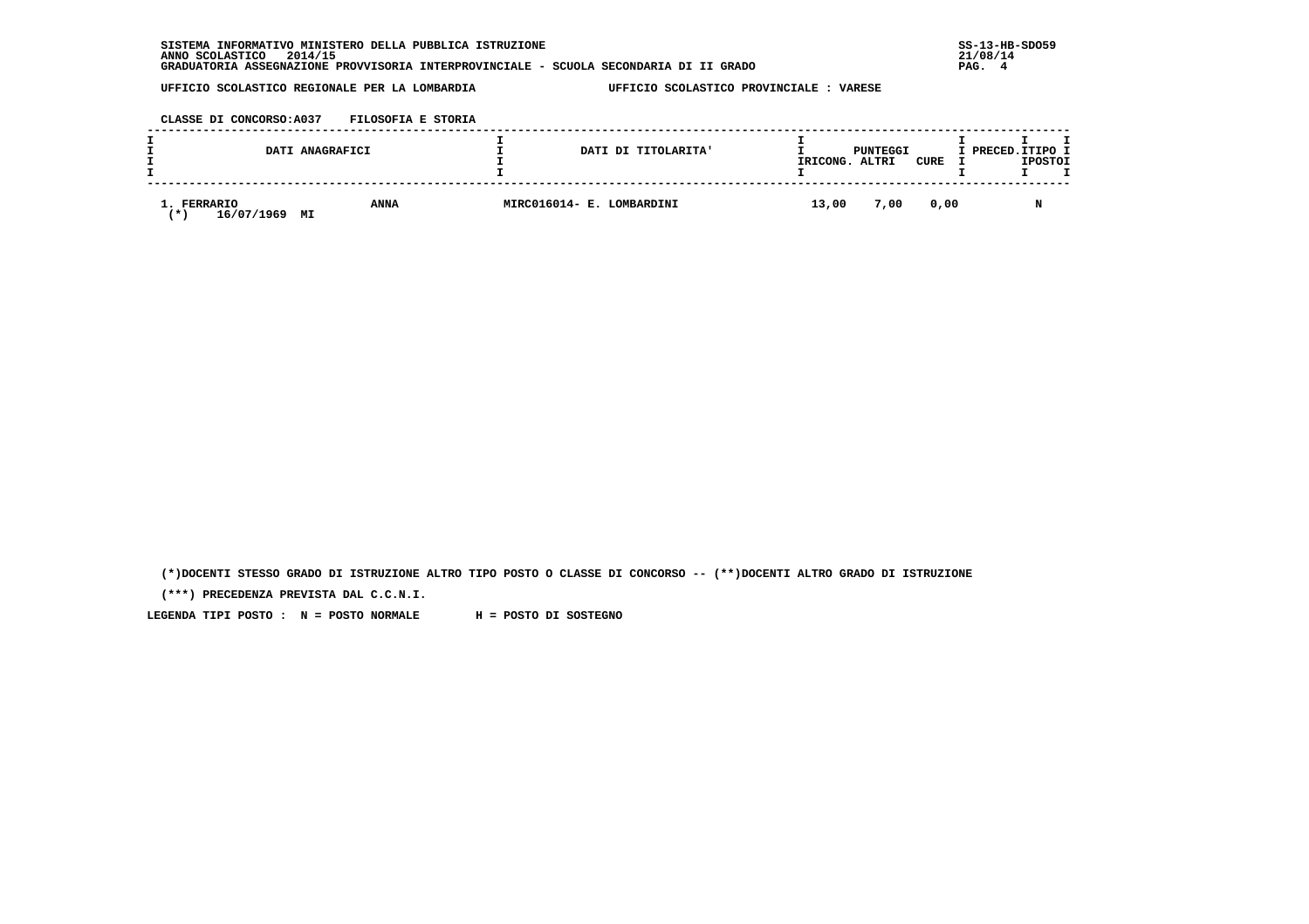| . INFORMATIVO MINISTERO DELLA PUBBLICA ISTRUZIONE<br><b>SISTEMA</b>                   | $SS-13-HE$ |
|---------------------------------------------------------------------------------------|------------|
| 2014/15<br>ANNO SCOLASTICO                                                            | 21/08/14   |
| GRADUATORIA ASSEGNAZIONE PROVVISORIA INTERPROVINCIALE - SCUOLA SECONDARIA DI II GRADO | PAG.       |

 **CLASSE DI CONCORSO:A037 FILOSOFIA E STORIA**

|                                 | DATI ANAGRAFICI   | DATI DI TITOLARITA'       | IRICONG. | PUNTEGGI<br>ALTRI | CURE | I PRECED. ITIPO I<br><b>IPOSTOI</b> |
|---------------------------------|-------------------|---------------------------|----------|-------------------|------|-------------------------------------|
| 1. FERRARIO<br>16/07/1969<br>′∗ | <b>ANNA</b><br>MI | MIRC016014- E. LOMBARDINI | 13,00    | 7,00              | 0,00 |                                     |

 **(\*)DOCENTI STESSO GRADO DI ISTRUZIONE ALTRO TIPO POSTO O CLASSE DI CONCORSO -- (\*\*)DOCENTI ALTRO GRADO DI ISTRUZIONE**

 **(\*\*\*) PRECEDENZA PREVISTA DAL C.C.N.I.**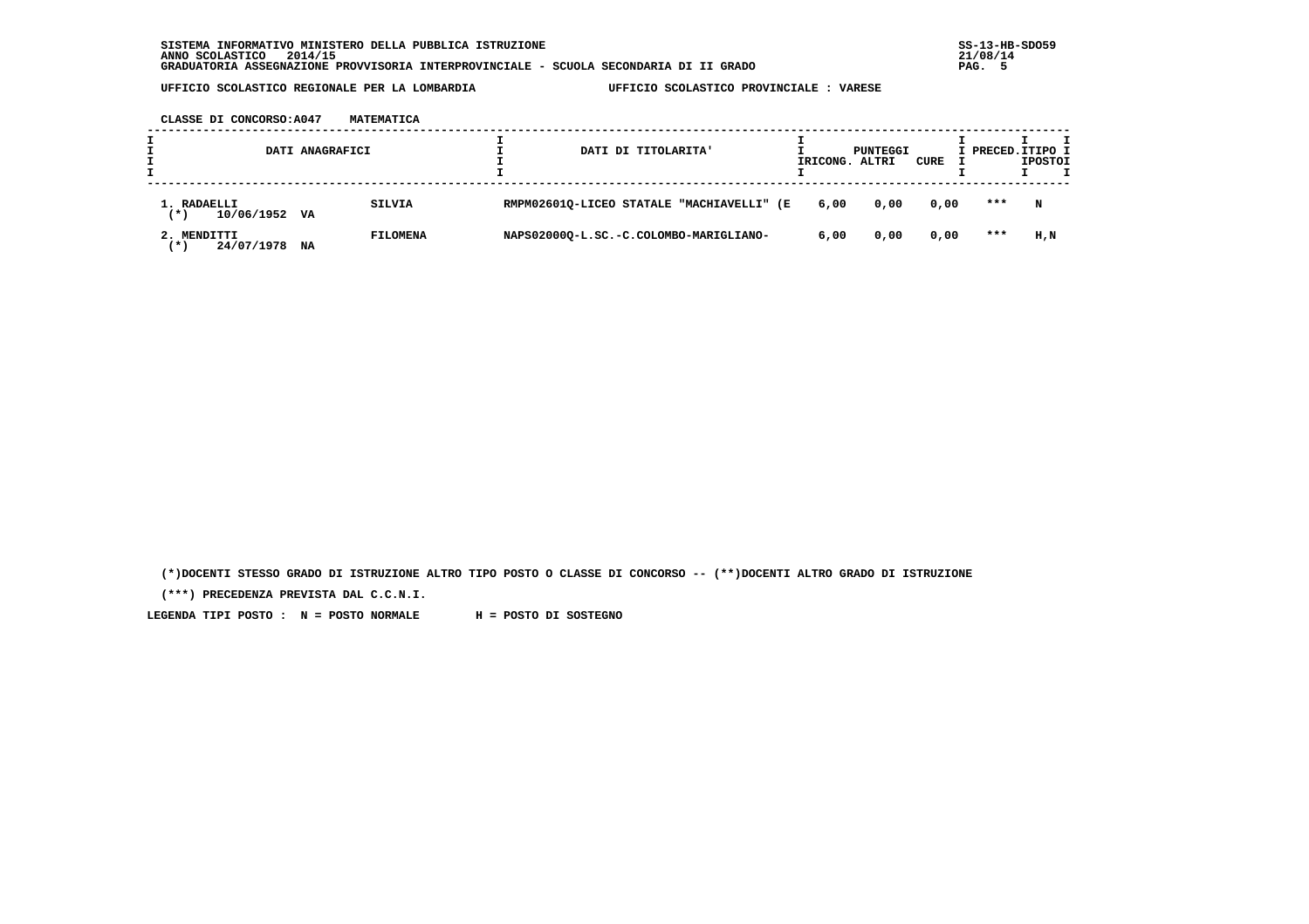**CLASSE DI CONCORSO:A047 MATEMATICA**

|                                    | DATI ANAGRAFICI |                 | DATI DI TITOLARITA' |                                           | IRICONG. | PUNTEGGI<br>ALTRI | CURE | I PRECED. ITIPO I | <b>IPOSTOI</b> |  |
|------------------------------------|-----------------|-----------------|---------------------|-------------------------------------------|----------|-------------------|------|-------------------|----------------|--|
| 1. RADAELLI<br>10/06/1952<br>(*)   | VA              | SILVIA          |                     | RMPM02601Q-LICEO STATALE "MACHIAVELLI" (E | 6,00     | 0.00              | 0,00 | ***               | N              |  |
| 2. MENDITTI<br>24/07/1978<br>′ * ` | NA              | <b>FILOMENA</b> |                     | NAPS02000Q-L.SC.-C.COLOMBO-MARIGLIANO-    | 6,00     | 0,00              | 0,00 | $***$             | H.N            |  |

 **(\*)DOCENTI STESSO GRADO DI ISTRUZIONE ALTRO TIPO POSTO O CLASSE DI CONCORSO -- (\*\*)DOCENTI ALTRO GRADO DI ISTRUZIONE**

 **(\*\*\*) PRECEDENZA PREVISTA DAL C.C.N.I.**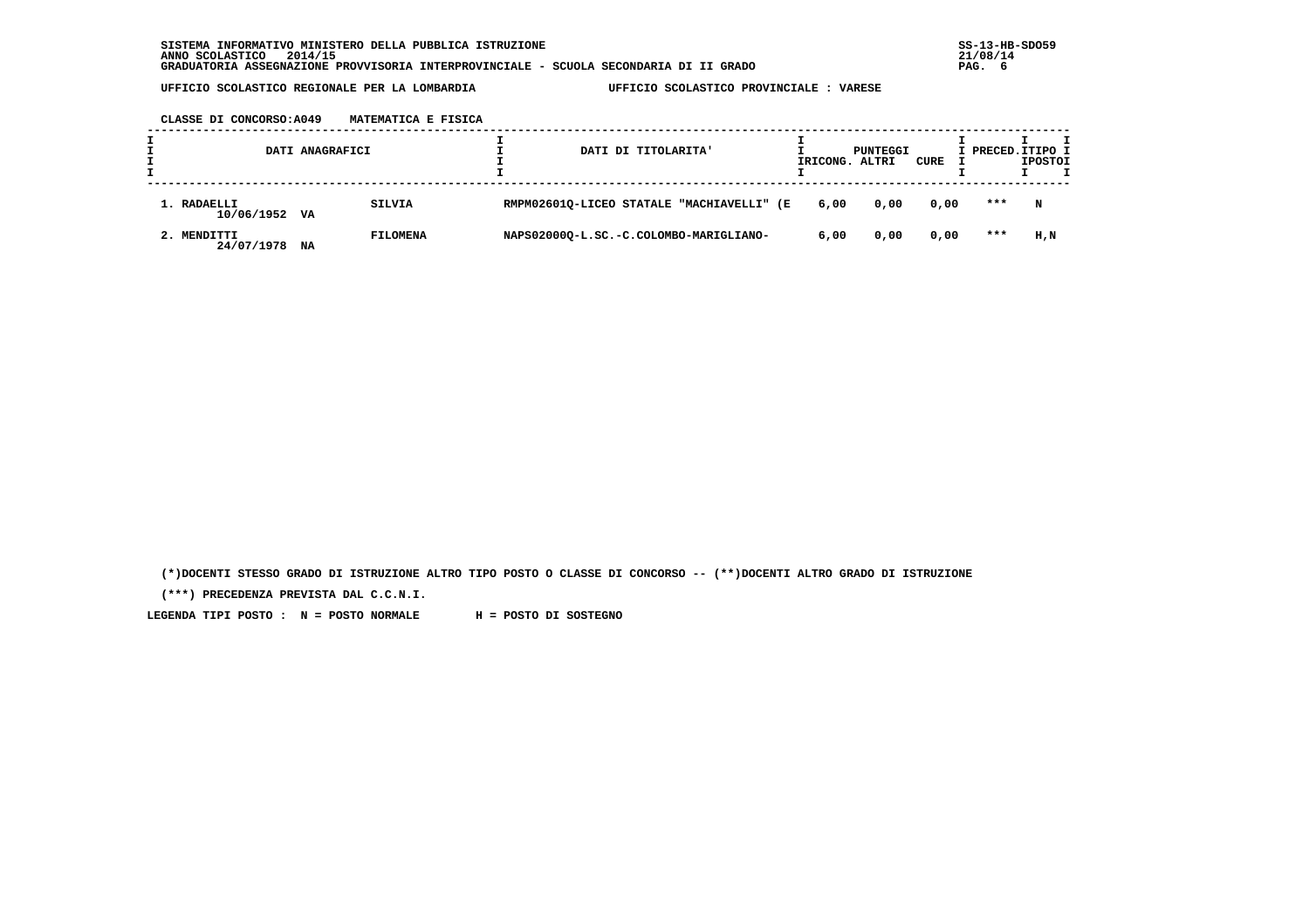**CLASSE DI CONCORSO:A049 MATEMATICA E FISICA**

|                              | DATI ANAGRAFICI |                 |  | DATI DI TITOLARITA'                       | IRICONG. | PUNTEGGI<br>ALTRI | CURE | I PRECED. ITIPO I | <b>IPOSTOI</b> |  |
|------------------------------|-----------------|-----------------|--|-------------------------------------------|----------|-------------------|------|-------------------|----------------|--|
| 1. RADAELLI<br>10/06/1952 VA |                 | <b>SILVIA</b>   |  | RMPM02601Q-LICEO STATALE "MACHIAVELLI" (E | 6,00     | 0,00              | 0,00 | ***               | N              |  |
| 2. MENDITTI<br>24/07/1978    | NA              | <b>FILOMENA</b> |  | NAPS02000Q-L.SC.-C.COLOMBO-MARIGLIANO-    | 6,00     | 0,00              | 0,00 | ***               | H.N            |  |

 **(\*)DOCENTI STESSO GRADO DI ISTRUZIONE ALTRO TIPO POSTO O CLASSE DI CONCORSO -- (\*\*)DOCENTI ALTRO GRADO DI ISTRUZIONE**

 **(\*\*\*) PRECEDENZA PREVISTA DAL C.C.N.I.**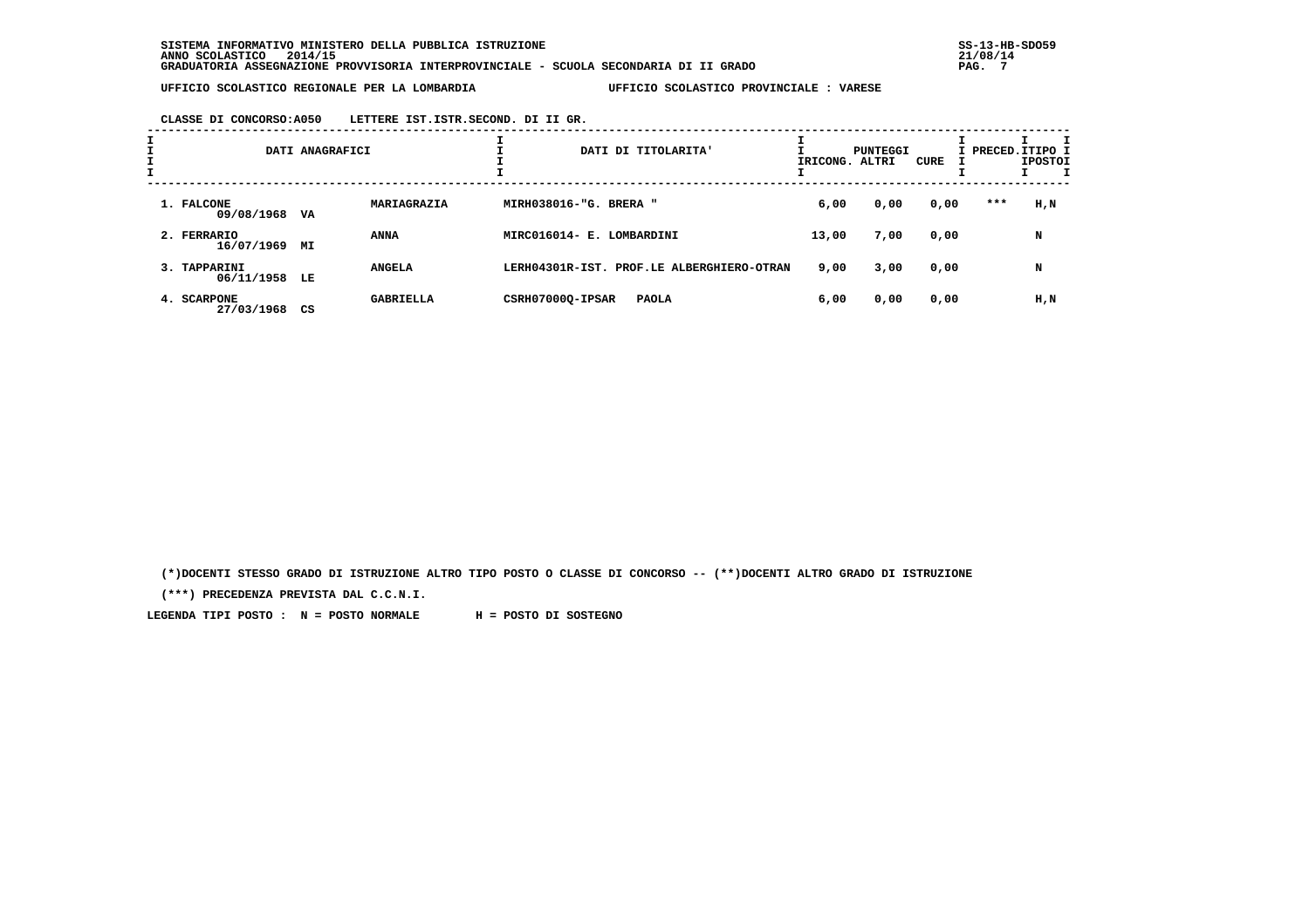**CLASSE DI CONCORSO:A050 LETTERE IST.ISTR.SECOND. DI II GR.**

| I |                               | DATI ANAGRAFICI        |                           | DATI DI TITOLARITA'                       | IRICONG. ALTRI | PUNTEGGI | CURE |     | I PRECED. ITIPO I<br><b>IPOSTOI</b><br>I |
|---|-------------------------------|------------------------|---------------------------|-------------------------------------------|----------------|----------|------|-----|------------------------------------------|
|   | 1. FALCONE<br>09/08/1968      | MARIAGRAZIA<br>VA      | MIRH038016-"G. BRERA "    |                                           | 6,00           | 0,00     | 0,00 | *** | H,N                                      |
|   | 2. FERRARIO<br>16/07/1969     | <b>ANNA</b><br>МI      | MIRC016014- E. LOMBARDINI |                                           | 13,00          | 7,00     | 0,00 |     | N                                        |
|   | 3. TAPPARINI<br>06/11/1958 LE | <b>ANGELA</b>          |                           | LERH04301R-IST. PROF.LE ALBERGHIERO-OTRAN | 9,00           | 3,00     | 0,00 |     | N                                        |
|   | 4. SCARPONE<br>27/03/1968     | <b>GABRIELLA</b><br>CS | CSRH07000Q-IPSAR          | <b>PAOLA</b>                              | 6,00           | 0,00     | 0,00 |     | H,N                                      |

 **(\*)DOCENTI STESSO GRADO DI ISTRUZIONE ALTRO TIPO POSTO O CLASSE DI CONCORSO -- (\*\*)DOCENTI ALTRO GRADO DI ISTRUZIONE**

 **(\*\*\*) PRECEDENZA PREVISTA DAL C.C.N.I.**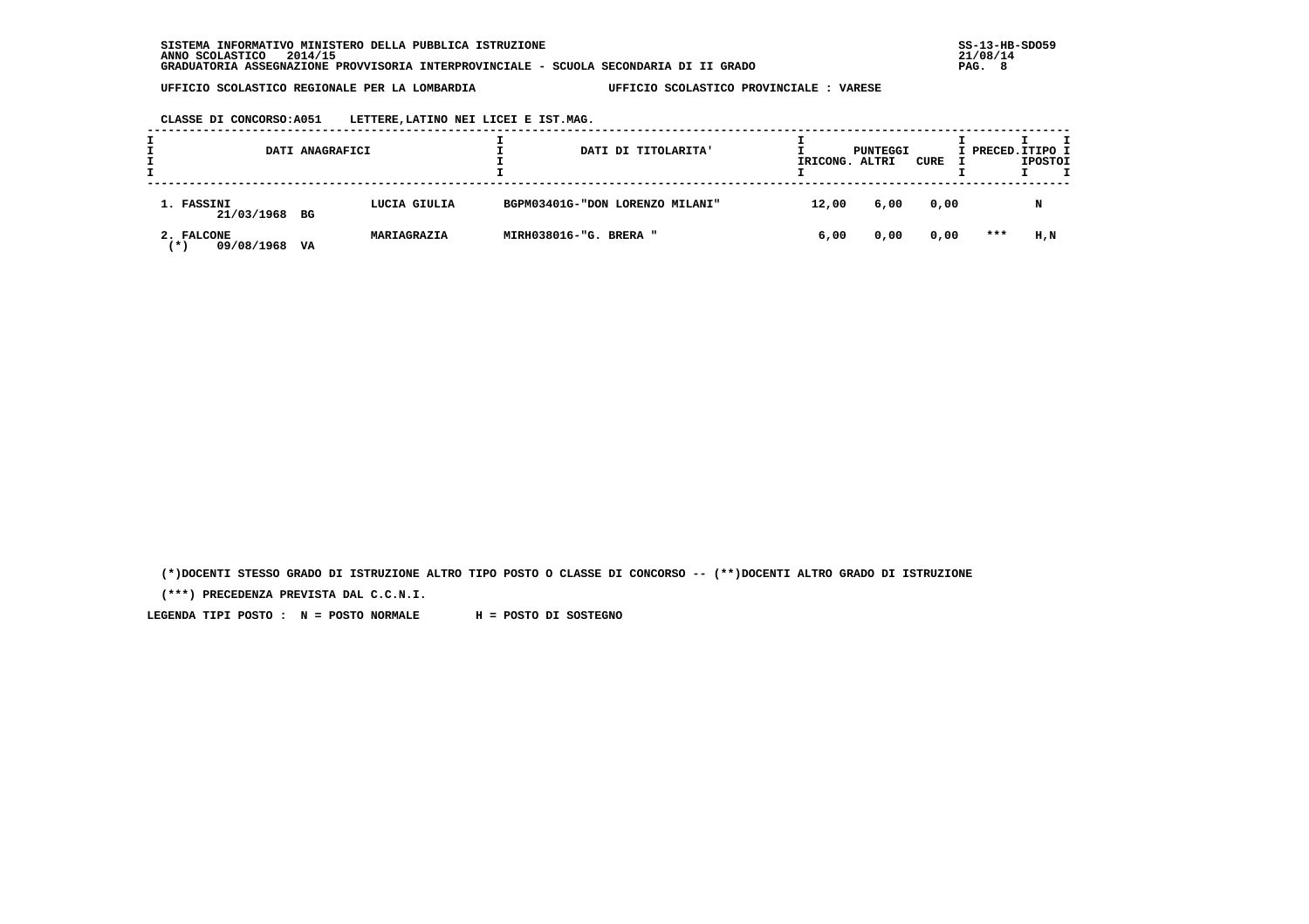**CLASSE DI CONCORSO:A051 LETTERE,LATINO NEI LICEI E IST.MAG.**

|                                           | DATI ANAGRAFICI |              |                        | DATI DI TITOLARITA'             | IRICONG. | PUNTEGGI<br>ALTRI | CURE | I PRECED. ITIPO I | <b>IPOSTOI</b> |  |
|-------------------------------------------|-----------------|--------------|------------------------|---------------------------------|----------|-------------------|------|-------------------|----------------|--|
| 1. FASSINI<br>21/03/1968 BG               |                 | LUCIA GIULIA |                        | BGPM03401G-"DON LORENZO MILANI" | 12,00    | 6,00              | 0,00 |                   | N              |  |
| 2. FALCONE<br>09/08/1968<br>$\rightarrow$ | VA              | MARIAGRAZIA  | MIRH038016-"G. BRERA " |                                 | 6,00     | 0,00              | 0,00 | $***$             | H,N            |  |

 **(\*)DOCENTI STESSO GRADO DI ISTRUZIONE ALTRO TIPO POSTO O CLASSE DI CONCORSO -- (\*\*)DOCENTI ALTRO GRADO DI ISTRUZIONE**

 **(\*\*\*) PRECEDENZA PREVISTA DAL C.C.N.I.**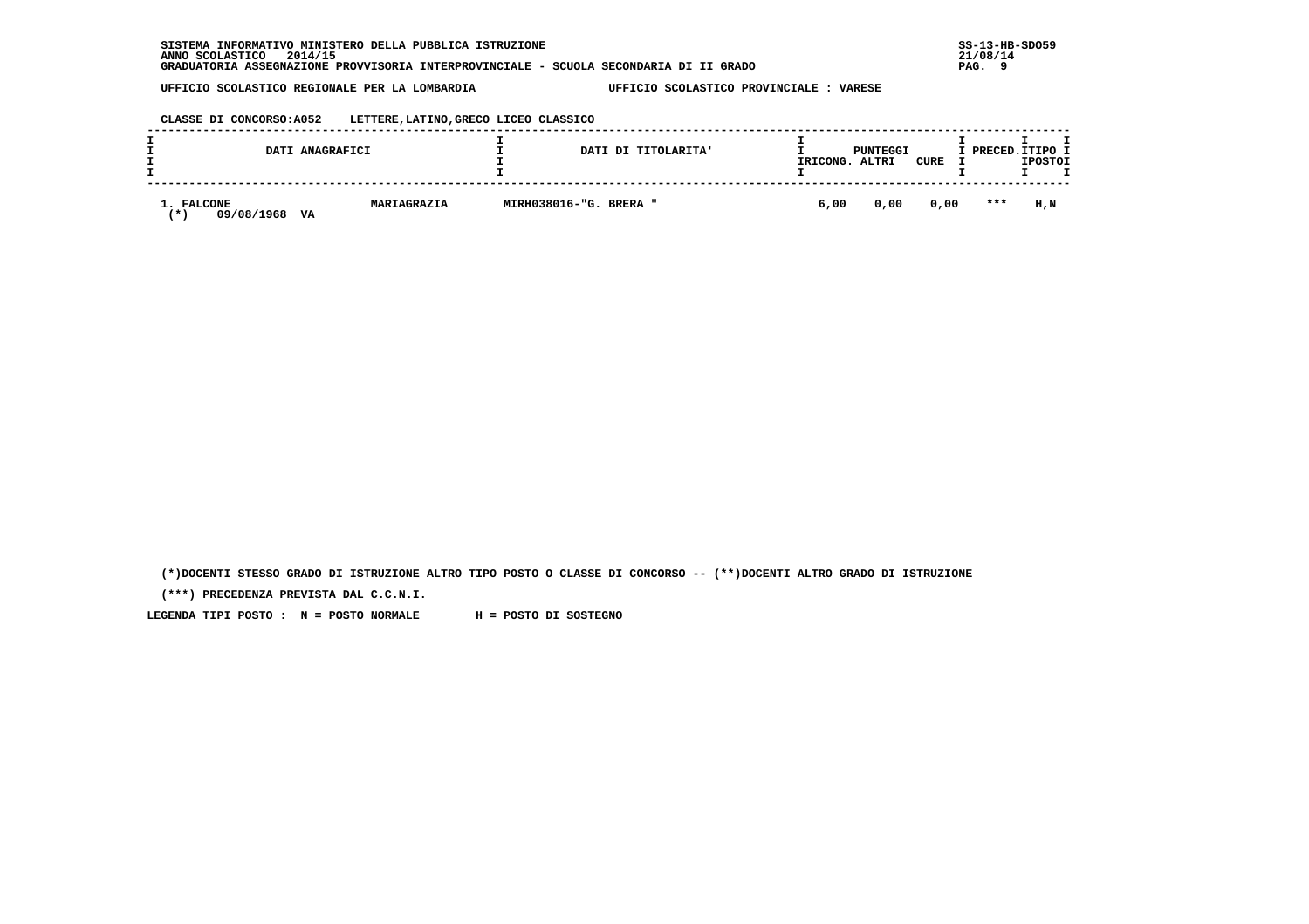| SISTEMA INFORMATIVO MINISTERO DELLA PUBBLICA ISTRUZIONE                               | $SS-13-HE$       |
|---------------------------------------------------------------------------------------|------------------|
| 2014/15<br>ANNO SCOLASTICO                                                            | 21/08/14         |
| GRADUATORIA ASSEGNAZIONE PROVVISORIA INTERPROVINCIALE - SCUOLA SECONDARIA DI II GRADO | $\Omega$<br>PAG. |

 **CLASSE DI CONCORSO:A052 LETTERE,LATINO,GRECO LICEO CLASSICO**

| DATI ANAGRAFICI                      |             |                        | DATI DI TITOLARITA' | IRICONG. | PUNTEGGI<br>ALTRI | CURE | I PRECED.ITIPO I | <b>IPOSTOI</b> |
|--------------------------------------|-------------|------------------------|---------------------|----------|-------------------|------|------------------|----------------|
| 1. FALCONE<br>09/08/1968<br>VA<br>′∗ | MARIAGRAZIA | MIRH038016-"G. BRERA " |                     | 6,00     | 0,00              | 0,00 | $* * *$          | H.N            |

 **(\*)DOCENTI STESSO GRADO DI ISTRUZIONE ALTRO TIPO POSTO O CLASSE DI CONCORSO -- (\*\*)DOCENTI ALTRO GRADO DI ISTRUZIONE**

 **(\*\*\*) PRECEDENZA PREVISTA DAL C.C.N.I.**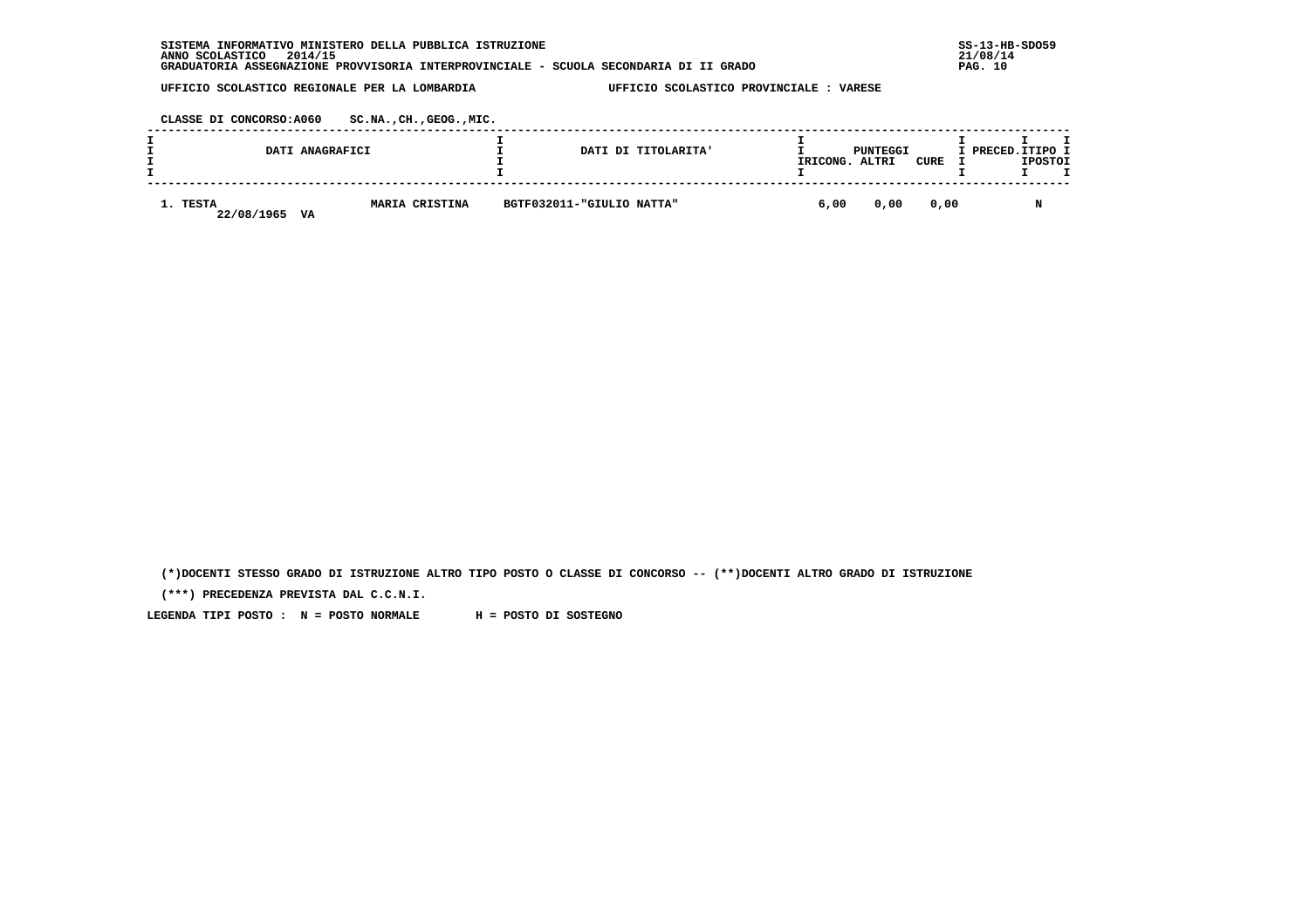| . INFORMATIVO MINISTERO DELLA PUBBLICA ISTRUZIONE<br><b>SISTEMA</b>                   | $SS-13-HB-SDO59$ |
|---------------------------------------------------------------------------------------|------------------|
| 2014/15<br>ANNO SCOLASTICO                                                            | 21/08/14         |
| GRADUATORIA ASSEGNAZIONE PROVVISORIA INTERPROVINCIALE - SCUOLA SECONDARIA DI II GRADO | PAG. 10          |

 **CLASSE DI CONCORSO:A060 SC.NA.,CH.,GEOG.,MIC.**

| DATI ANAGRAFICI              |                       |                           | DATI DI TITOLARITA'<br>IRICONG. | PUNTEGGI<br>ALTRI | <b>CURE</b> | I PRECED.ITIPO I<br><b>IPOSTOI</b> |
|------------------------------|-----------------------|---------------------------|---------------------------------|-------------------|-------------|------------------------------------|
| 1. TESTA<br>22/08/1965<br>VA | <b>MARIA CRISTINA</b> | BGTF032011-"GIULIO NATTA" | 6,00                            | 0,00              | 0,00        |                                    |

 **(\*)DOCENTI STESSO GRADO DI ISTRUZIONE ALTRO TIPO POSTO O CLASSE DI CONCORSO -- (\*\*)DOCENTI ALTRO GRADO DI ISTRUZIONE**

 **(\*\*\*) PRECEDENZA PREVISTA DAL C.C.N.I.**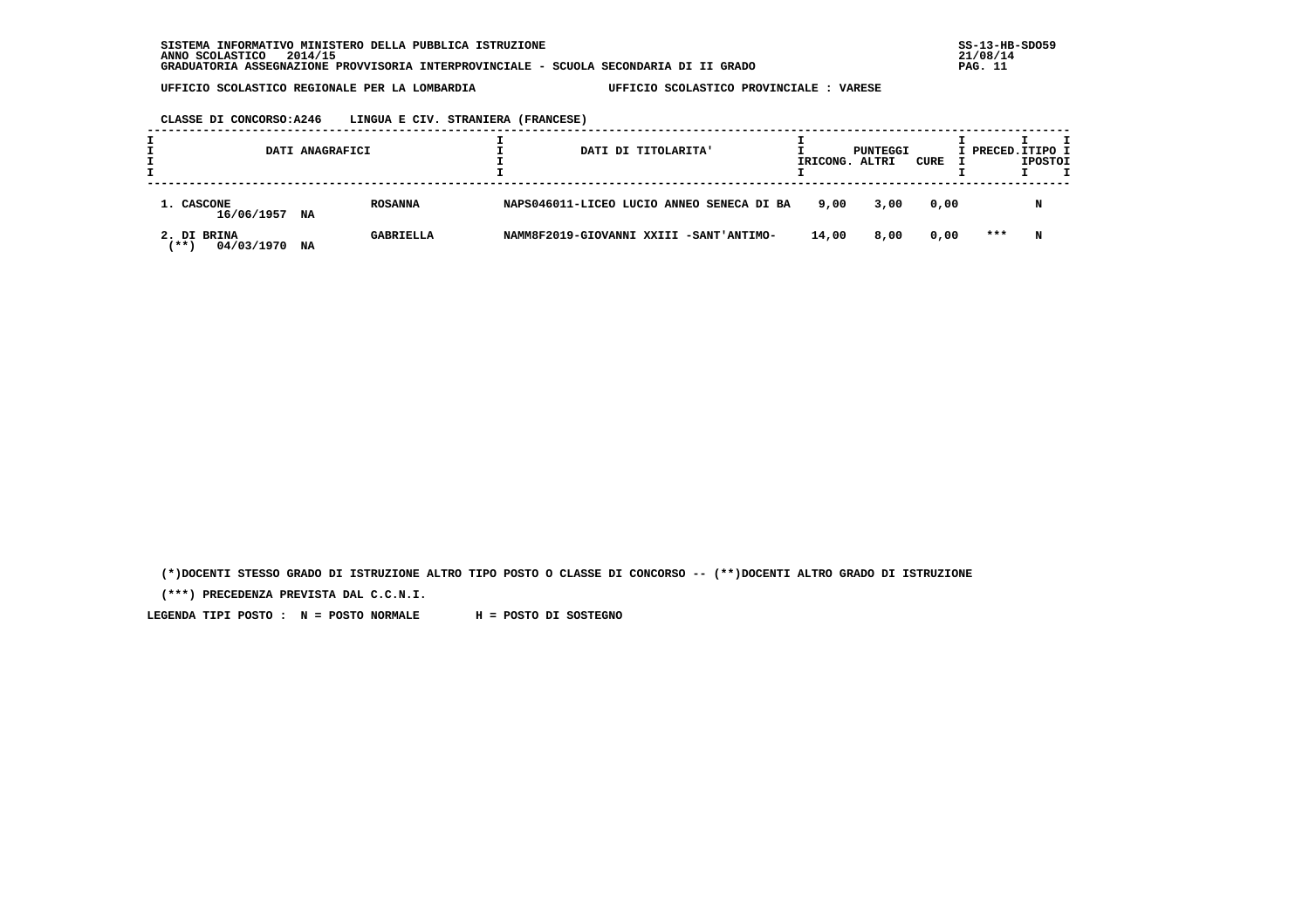**CLASSE DI CONCORSO:A246 LINGUA E CIV. STRANIERA (FRANCESE)**

|                                         | DATI ANAGRAFICI        | DATI DI TITOLARITA'                       | IRICONG. | PUNTEGGI<br>ALTRI | CURE | I PRECED.ITIPO I | <b>IPOSTOI</b> |  |
|-----------------------------------------|------------------------|-------------------------------------------|----------|-------------------|------|------------------|----------------|--|
| 1. CASCONE<br>16/06/1957                | <b>ROSANNA</b><br>NA   | NAPS046011-LICEO LUCIO ANNEO SENECA DI BA | 9,00     | 3,00              | 0,00 |                  | N              |  |
| 2. DI BRINA<br>04/03/1970<br><b>***</b> | <b>GABRIELLA</b><br>NA | NAMM8F2019-GIOVANNI XXIII -SANT'ANTIMO-   | 14,00    | 8,00              | 0,00 | ***              | N              |  |

 **(\*)DOCENTI STESSO GRADO DI ISTRUZIONE ALTRO TIPO POSTO O CLASSE DI CONCORSO -- (\*\*)DOCENTI ALTRO GRADO DI ISTRUZIONE**

 **(\*\*\*) PRECEDENZA PREVISTA DAL C.C.N.I.**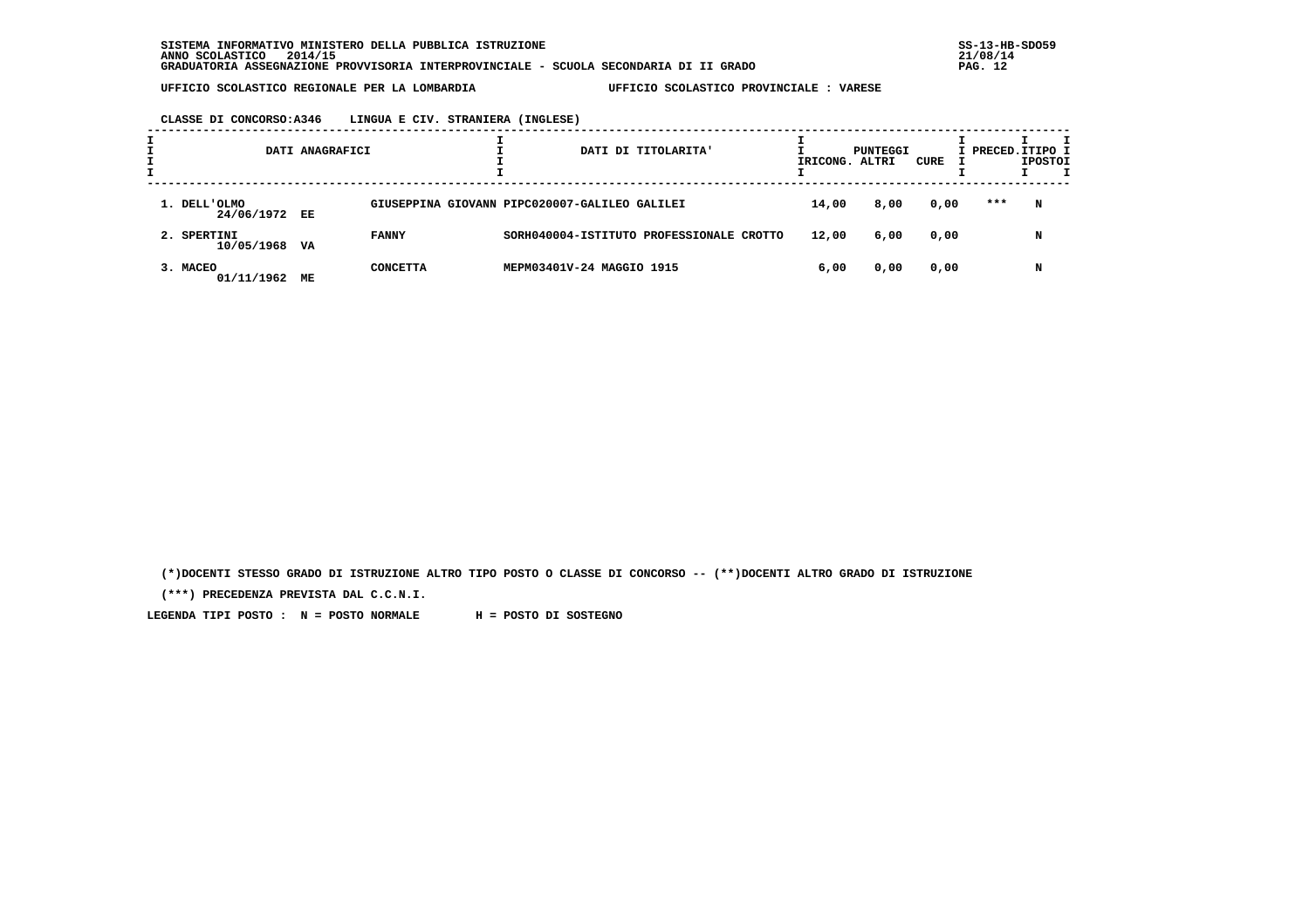# **CLASSE DI CONCORSO:A346 LINGUA E CIV. STRANIERA (INGLESE)**

|                               | DATI ANAGRAFICI |                 |                                               | DATI DI TITOLARITA' |       | PUNTEGGI<br>IRICONG. ALTRI | CURE | I PRECED.ITIPO I | <b>IPOSTOI</b> |  |
|-------------------------------|-----------------|-----------------|-----------------------------------------------|---------------------|-------|----------------------------|------|------------------|----------------|--|
| 1. DELL'OLMO<br>24/06/1972 EE |                 |                 | GIUSEPPINA GIOVANN PIPC020007-GALILEO GALILEI |                     | 14,00 | 8,00                       | 0,00 | ***              | N              |  |
| 2. SPERTINI<br>10/05/1968     | VA              | <b>FANNY</b>    | SORH040004-ISTITUTO PROFESSIONALE CROTTO      |                     | 12,00 | 6,00                       | 0,00 |                  | N              |  |
| 3. MACEO<br>01/11/1962        | МE              | <b>CONCETTA</b> | MEPM03401V-24 MAGGIO 1915                     |                     | 6,00  | 0,00                       | 0,00 |                  | N              |  |

 **(\*)DOCENTI STESSO GRADO DI ISTRUZIONE ALTRO TIPO POSTO O CLASSE DI CONCORSO -- (\*\*)DOCENTI ALTRO GRADO DI ISTRUZIONE**

 **(\*\*\*) PRECEDENZA PREVISTA DAL C.C.N.I.**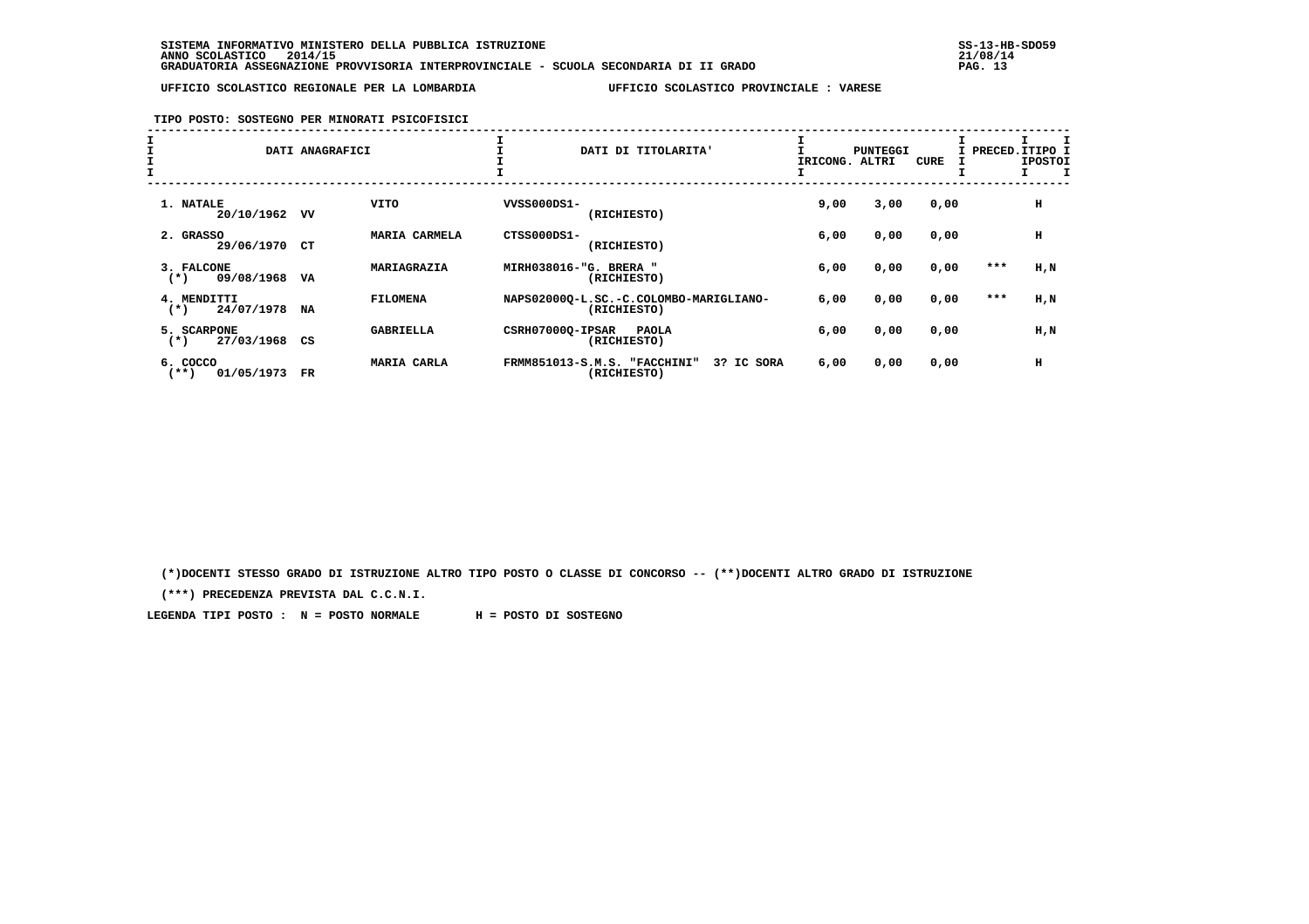#### **TIPO POSTO: SOSTEGNO PER MINORATI PSICOFISICI**

| I<br>I<br>I |                                    | DATI ANAGRAFICI |                  |                        | DATI DI TITOLARITA'                                       | IRICONG. ALTRI | <b>PUNTEGGI</b> | <b>CURE</b> | I PRECED.ITIPO I | <b>IPOSTOI</b> |
|-------------|------------------------------------|-----------------|------------------|------------------------|-----------------------------------------------------------|----------------|-----------------|-------------|------------------|----------------|
|             | 1. NATALE<br>20/10/1962            | vv              | <b>VITO</b>      | VVSS000DS1-            | (RICHIESTO)                                               | 9,00           | 3,00            | 0,00        |                  | н              |
|             | 2. GRASSO<br>29/06/1970 CT         |                 | MARIA CARMELA    | CTSS000DS1-            | (RICHIESTO)                                               | 6,00           | 0,00            | 0,00        |                  | н              |
|             | 3. FALCONE<br>09/08/1968<br>$(*)$  | VA              | MARIAGRAZIA      | MIRH038016-"G. BRERA " | (RICHIESTO)                                               | 6,00           | 0,00            | 0,00        | ***              | $H$ , $N$      |
|             | 4. MENDITTI<br>24/07/1978<br>$(*)$ | NA              | <b>FILOMENA</b>  |                        | NAPS02000Q-L.SC.-C.COLOMBO-MARIGLIANO-<br>(RICHIESTO)     | 6,00           | 0,00            | 0,00        | $***$            | $H$ , $N$      |
|             | 5. SCARPONE<br>27/03/1968<br>$(*)$ | CS              | <b>GABRIELLA</b> | CSRH07000Q-IPSAR       | <b>PAOLA</b><br>(RICHIESTO)                               | 6,00           | 0,00            | 0,00        |                  | $H$ , $N$      |
|             | 6. COCCO<br>01/05/1973<br>$(***)$  | $_{\rm FR}$     | MARIA CARLA      |                        | FRMM851013-S.M.S. "FACCHINI"<br>3? IC SORA<br>(RICHIESTO) | 6,00           | 0,00            | 0,00        |                  | н              |

 **(\*)DOCENTI STESSO GRADO DI ISTRUZIONE ALTRO TIPO POSTO O CLASSE DI CONCORSO -- (\*\*)DOCENTI ALTRO GRADO DI ISTRUZIONE**

 **(\*\*\*) PRECEDENZA PREVISTA DAL C.C.N.I.**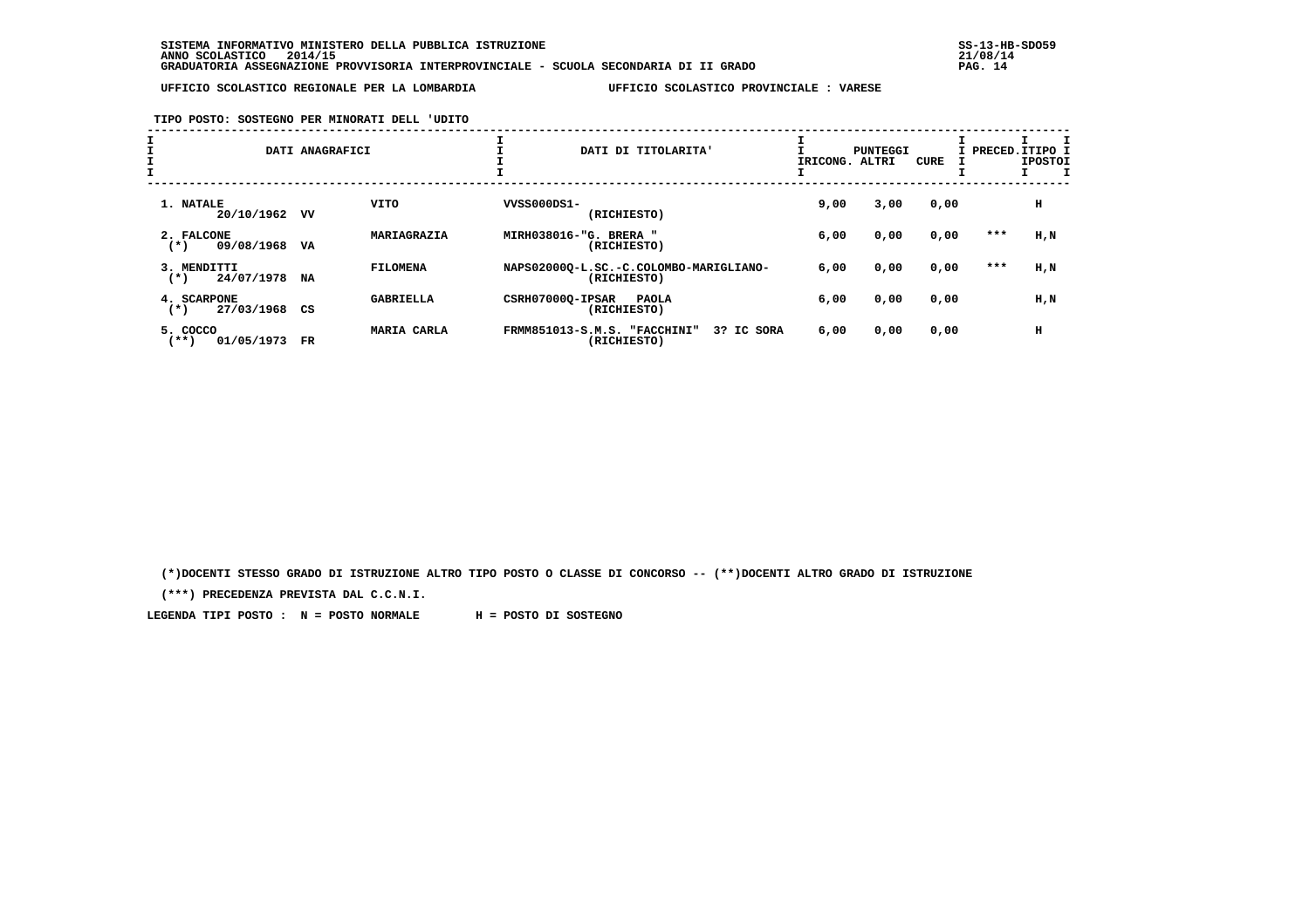**TIPO POSTO: SOSTEGNO PER MINORATI DELL 'UDITO**

| ᅩ |                                       | DATI ANAGRAFICI | ᅩ                |                        | DATI DI TITOLARITA'                                       | IRICONG. ALTRI | PUNTEGGI | <b>CURE</b> |     | I PRECED.ITIPO I<br><b>IPOSTOI</b> |
|---|---------------------------------------|-----------------|------------------|------------------------|-----------------------------------------------------------|----------------|----------|-------------|-----|------------------------------------|
|   | 1. NATALE<br>20/10/1962               | vv              | VITO             | VVSS000DS1-            | (RICHIESTO)                                               | 9,00           | 3,00     | 0,00        |     | н                                  |
|   | 2. FALCONE<br>09/08/1968<br>$(*)$     | VA              | MARIAGRAZIA      | MIRH038016-"G. BRERA " | (RICHIESTO)                                               | 6,00           | 0,00     | 0,00        | *** | H,N                                |
|   | 3. MENDITTI<br>24/07/1978<br>$(*)$    | NA              | <b>FILOMENA</b>  |                        | NAPS02000Q-L.SC.-C.COLOMBO-MARIGLIANO-<br>(RICHIESTO)     | 6,00           | 0,00     | 0,00        | *** | H,N                                |
|   | 4. SCARPONE<br>27/03/1968<br>$^{(*)}$ | CS              | <b>GABRIELLA</b> | CSRH07000Q-IPSAR       | <b>PAOLA</b><br>(RICHIESTO)                               | 6,00           | 0,00     | 0,00        |     | H,N                                |
|   | 5. COCCO<br>$***$ )<br>01/05/1973     | $_{\rm FR}$     | MARIA CARLA      |                        | FRMM851013-S.M.S. "FACCHINI"<br>3? IC SORA<br>(RICHIESTO) | 6,00           | 0,00     | 0,00        |     | н                                  |

 **(\*)DOCENTI STESSO GRADO DI ISTRUZIONE ALTRO TIPO POSTO O CLASSE DI CONCORSO -- (\*\*)DOCENTI ALTRO GRADO DI ISTRUZIONE**

 **(\*\*\*) PRECEDENZA PREVISTA DAL C.C.N.I.**